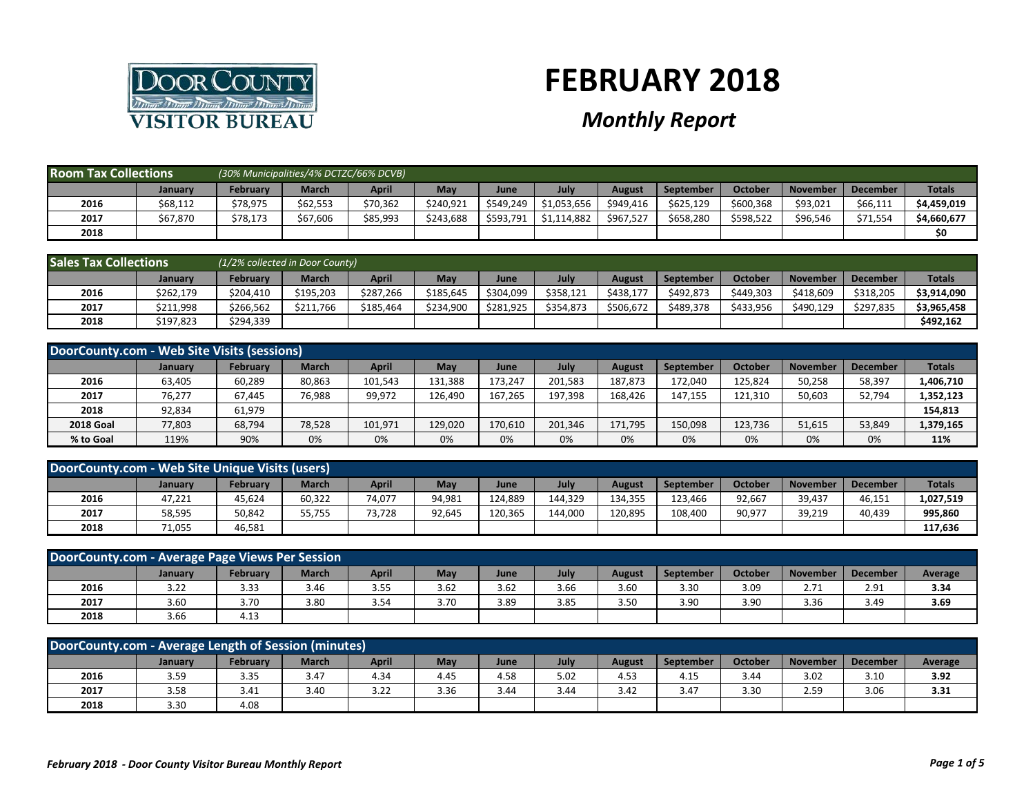

## **FEBRUARY 2018**

## *Monthly Report*

| <b>Room Tax Collections</b> |          | (30% Municipalities/4% DCTZC/66% DCVB) |          |          |           |           |             |           |           |           |                 |                 |               |
|-----------------------------|----------|----------------------------------------|----------|----------|-----------|-----------|-------------|-----------|-----------|-----------|-----------------|-----------------|---------------|
|                             | Januarv  | February                               | March    | April    | May       | June      | July        | August    | September | October   | <b>November</b> | <b>December</b> | <b>Totals</b> |
| 2016                        | \$68,112 | \$78,975                               | \$62,553 | \$70,362 | \$240.921 | \$549,249 | \$1,053,656 | \$949,416 | \$625,129 | \$600,368 | \$93,021        | \$66,111        | \$4,459,019   |
| 2017                        | \$67,870 | \$78,173                               | \$67,606 | \$85,993 | \$243,688 | \$593,791 | \$1,114,882 | \$967,527 | \$658,280 | \$598,522 | \$96,546        | \$71,554        | \$4,660,677   |
| 2018                        |          |                                        |          |          |           |           |             |           |           |           |                 |                 | \$0           |

| <b>Sales Tax Collections</b> |           | (1/2% collected in Door County) |              |           |           |           |           |           |           |           |                 |                 |               |
|------------------------------|-----------|---------------------------------|--------------|-----------|-----------|-----------|-----------|-----------|-----------|-----------|-----------------|-----------------|---------------|
|                              | January   | <b>February</b>                 | <b>March</b> | April     | May       | June      | July      | August    | September | October   | <b>November</b> | <b>December</b> | <b>Totals</b> |
| 2016                         | \$262,179 | \$204,410                       | \$195,203    | \$287,266 | \$185,645 | \$304,099 | \$358,121 | \$438.177 | \$492.873 | \$449,303 | \$418,609       | \$318,205       | \$3,914,090   |
| 2017                         | \$211,998 | \$266.562                       | \$211.766    | \$185.464 | \$234,900 | \$281,925 | \$354,873 | \$506,672 | \$489,378 | \$433.956 | \$490.129       | \$297.835       | \$3,965,458   |
| 2018                         | \$197,823 | \$294,339                       |              |           |           |           |           |           |           |           |                 |                 | \$492,162     |

|                  | DoorCounty.com - Web Site Visits (sessions) |          |              |         |         |         |         |         |                  |         |                 |                 |               |  |
|------------------|---------------------------------------------|----------|--------------|---------|---------|---------|---------|---------|------------------|---------|-----------------|-----------------|---------------|--|
|                  | <b>January</b>                              | February | <b>March</b> | April   | May     | June    | July    | August  | <b>September</b> | October | <b>November</b> | <b>December</b> | <b>Totals</b> |  |
| 2016             | 63,405                                      | 60,289   | 80,863       | 101,543 | 131.388 | 173.247 | 201.583 | 187,873 | 172.040          | 125.824 | 50,258          | 58,397          | 1,406,710     |  |
| 2017             | 76,277                                      | 67,445   | 76,988       | 99,972  | 126.490 | 167.265 | 197.398 | 168.426 | 147,155          | 121,310 | 50,603          | 52,794          | 1,352,123     |  |
| 2018             | 92,834                                      | 61,979   |              |         |         |         |         |         |                  |         |                 |                 | 154,813       |  |
| <b>2018 Goal</b> | 77,803                                      | 68,794   | 78,528       | 101,971 | 129,020 | 170,610 | 201.346 | 171,795 | 150,098          | 123,736 | 51,615          | 53,849          | 1,379,165     |  |
| % to Goal        | 119%                                        | 90%      | 0%           | 0%      | 0%      | 0%      | 0%      | 0%      | 0%               | 0%      | 0%              | 0%              | 11%           |  |

| DoorCounty.com - Web Site Unique Visits (users) |         |                 |              |              |        |         |         |         |           |         |                 |          |               |
|-------------------------------------------------|---------|-----------------|--------------|--------------|--------|---------|---------|---------|-----------|---------|-----------------|----------|---------------|
|                                                 | Januarv | <b>February</b> | <b>March</b> | <b>April</b> | May    | June    | July    | August  | September | October | <b>November</b> | December | <b>Totals</b> |
| 2016                                            | 47,221  | 45,624          | 60,322       | 74,077       | 94,981 | 124.889 | 144.329 | 134.355 | 123.466   | 92,667  | 39,437          | 46.151   | 1,027,519     |
| 2017                                            | 58,595  | 50,842          | 55,755       | 73,728       | 92.645 | 120.365 | 144.000 | 120.895 | 108.400   | 90,977  | 39,219          | 40.439   | 995,860       |
| 2018                                            | 71,055  | 46,581          |              |              |        |         |         |         |           |         |                 |          | 117,636       |

| DoorCounty.com - Average Page Views Per Session                                                                                                                  |      |      |      |      |      |      |      |      |      |      |      |      |         |
|------------------------------------------------------------------------------------------------------------------------------------------------------------------|------|------|------|------|------|------|------|------|------|------|------|------|---------|
| July<br>Februarv<br><b>March</b><br><b>April</b><br>October<br>May<br><b>September</b><br><b>November</b><br><b>December</b><br>August<br><b>January</b><br>June |      |      |      |      |      |      |      |      |      |      |      |      | Average |
| 2016                                                                                                                                                             | 3.22 | 3.33 | 3.46 | 3.55 | 3.62 | 3.62 | 3.66 | 3.60 | 3.30 | 3.09 | 2.71 | 2.91 | 3.34    |
| 2017                                                                                                                                                             | 3.60 | 3.70 | 3.80 | 3.54 | 3.70 | 3.89 | 3.85 | 3.50 | 3.90 | 3.90 | 3.36 | 3.49 | 3.69    |
| 2018                                                                                                                                                             | 3.66 | 4.13 |      |      |      |      |      |      |      |      |      |      |         |

| DoorCounty.com - Average Length of Session (minutes)                                                                                                                               |      |      |      |            |      |      |      |      |      |      |      |      |      |
|------------------------------------------------------------------------------------------------------------------------------------------------------------------------------------|------|------|------|------------|------|------|------|------|------|------|------|------|------|
| July<br><b>February</b><br><b>March</b><br>October<br><b>April</b><br>May<br><b>September</b><br><b>November</b><br><b>December</b><br><b>Average</b><br>August<br>January<br>June |      |      |      |            |      |      |      |      |      |      |      |      |      |
| 2016                                                                                                                                                                               | 3.59 | 3.35 | 3.47 | 4.34       | 4.45 | 4.58 | 5.02 | 4.53 | 4.15 | 3.44 | 3.02 | 3.10 | 3.92 |
| 2017                                                                                                                                                                               | 3.58 | 3.41 | 3.40 | 22<br>3.ZZ | 3.36 | 3.44 | 3.44 | 3.42 | 3.47 | 3.30 | 2.59 | 3.06 | 3.31 |
| 2018                                                                                                                                                                               | 3.30 | 4.08 |      |            |      |      |      |      |      |      |      |      |      |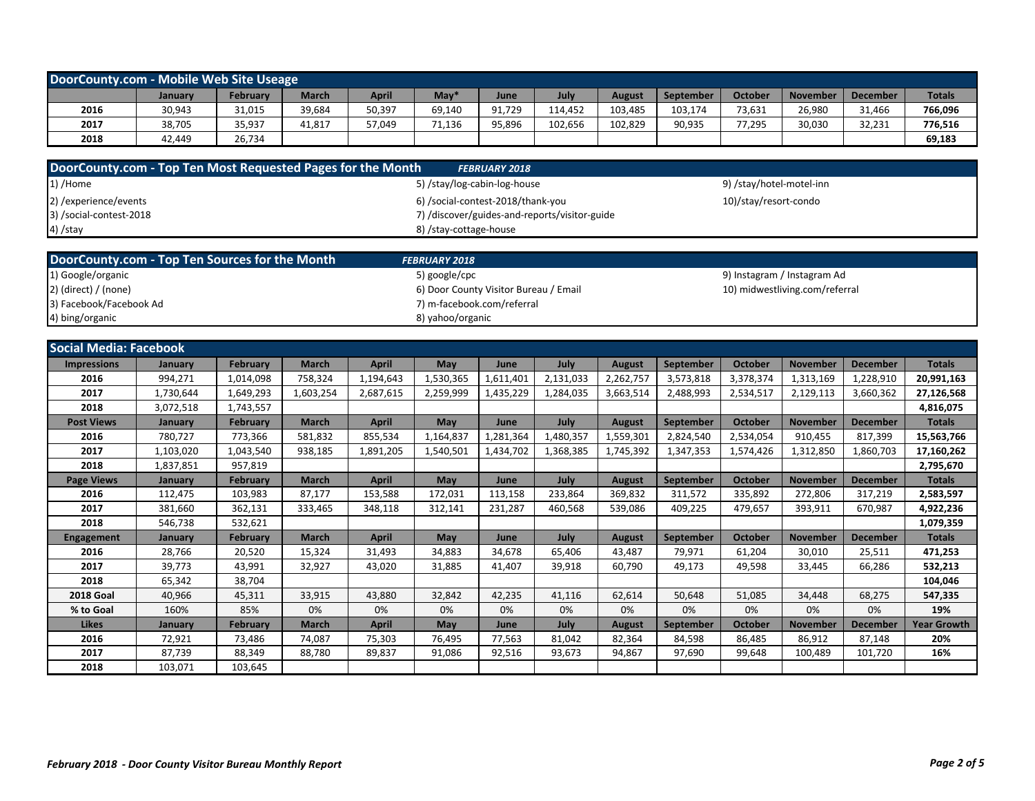| DoorCounty.com - Mobile Web Site Useage |         |          |              |        |                  |        |         |         |                  |         |                 |                 |               |
|-----------------------------------------|---------|----------|--------------|--------|------------------|--------|---------|---------|------------------|---------|-----------------|-----------------|---------------|
|                                         | January | February | <b>March</b> | April  | Mav <sup>*</sup> | June   | July    | August  | <b>September</b> | October | <b>November</b> | <b>December</b> | <b>Totals</b> |
| 2016                                    | 30,943  | 31,015   | 39,684       | 50,397 | 69,140           | 91.729 | 14.452  | 103,485 | 103,174          | 73,631  | 26,980          | 31,466          | 766,096       |
| 2017                                    | 38,705  | 35,937   | 41,817       | 57,049 | 71.136           | 95,896 | 102.656 | 102.829 | 90.935           | 77,295  | 30,030          | 32,231          | 776,516       |
| 2018                                    | 42.449  | 26,734   |              |        |                  |        |         |         |                  |         |                 |                 | 69,183        |

| DoorCounty.com - Top Ten Most Requested Pages for the Month | <b>FEBRUARY 2018</b>                          |                          |
|-------------------------------------------------------------|-----------------------------------------------|--------------------------|
| $1)$ /Home                                                  | 5) /stay/log-cabin-log-house                  | 9) /stay/hotel-motel-inn |
| 2) / experience/events                                      | 6) /social-contest-2018/thank-you             | 10)/stay/resort-condo    |
| 3) /social-contest-2018                                     | 7) /discover/guides-and-reports/visitor-guide |                          |
| 4) /stay                                                    | 8) /stay-cottage-house                        |                          |

| DoorCounty.com - Top Ten Sources for the Month | <b>FEBRUARY 2018</b>                  |                                |
|------------------------------------------------|---------------------------------------|--------------------------------|
| 1) Google/organic                              | 5) google/cpc                         | 9) Instagram / Instagram Ad    |
| $2)$ (direct) / (none)                         | 6) Door County Visitor Bureau / Email | 10) midwestliving.com/referral |
| 3) Facebook/Facebook Ad                        | 7) m-facebook.com/referral            |                                |
| 4) bing/organic                                | 8) yahoo/organic                      |                                |

| <b>Social Media: Facebook</b> |                |                 |              |              |           |           |           |               |           |                |                 |                 |                    |
|-------------------------------|----------------|-----------------|--------------|--------------|-----------|-----------|-----------|---------------|-----------|----------------|-----------------|-----------------|--------------------|
| <b>Impressions</b>            | January        | February        | <b>March</b> | <b>April</b> | May       | June      | July      | <b>August</b> | September | October        | <b>November</b> | <b>December</b> | <b>Totals</b>      |
| 2016                          | 994,271        | 1,014,098       | 758,324      | 1,194,643    | 1,530,365 | ,611,401  | 2,131,033 | 2,262,757     | 3,573,818 | 3,378,374      | 1,313,169       | 1,228,910       | 20,991,163         |
| 2017                          | 1,730,644      | 1,649,293       | 1,603,254    | 2,687,615    | 2,259,999 | 1,435,229 | 1,284,035 | 3,663,514     | 2,488,993 | 2,534,517      | 2,129,113       | 3,660,362       | 27,126,568         |
| 2018                          | 3,072,518      | 1,743,557       |              |              |           |           |           |               |           |                |                 |                 | 4,816,075          |
| <b>Post Views</b>             | January        | <b>February</b> | <b>March</b> | <b>April</b> | May       | June      | July      | <b>August</b> | September | <b>October</b> | <b>November</b> | <b>December</b> | <b>Totals</b>      |
| 2016                          | 780,727        | 773,366         | 581,832      | 855,534      | 1,164,837 | 1,281,364 | 1,480,357 | 1,559,301     | 2,824,540 | 2,534,054      | 910,455         | 817,399         | 15,563,766         |
| 2017                          | 1,103,020      | 1,043,540       | 938,185      | 1,891,205    | 1,540,501 | 1,434,702 | 1,368,385 | 1,745,392     | 1,347,353 | 1,574,426      | 1,312,850       | 1,860,703       | 17,160,262         |
| 2018                          | 1,837,851      | 957,819         |              |              |           |           |           |               |           |                |                 |                 | 2,795,670          |
| <b>Page Views</b>             | January        | February        | <b>March</b> | <b>April</b> | May       | June      | July      | <b>August</b> | September | October        | <b>November</b> | <b>December</b> | <b>Totals</b>      |
| 2016                          | 112,475        | 103,983         | 87,177       | 153,588      | 172,031   | 113,158   | 233,864   | 369.832       | 311,572   | 335,892        | 272,806         | 317,219         | 2,583,597          |
| 2017                          | 381,660        | 362,131         | 333,465      | 348.118      | 312.141   | 231,287   | 460,568   | 539.086       | 409.225   | 479.657        | 393,911         | 670.987         | 4,922,236          |
| 2018                          | 546,738        | 532,621         |              |              |           |           |           |               |           |                |                 |                 | 1,079,359          |
| Engagement                    | January        | February        | <b>March</b> | <b>April</b> | May       | June      | July      | <b>August</b> | September | October        | <b>November</b> | <b>December</b> | <b>Totals</b>      |
| 2016                          | 28,766         | 20,520          | 15,324       | 31,493       | 34,883    | 34,678    | 65,406    | 43,487        | 79,971    | 61,204         | 30,010          | 25,511          | 471,253            |
| 2017                          | 39,773         | 43,991          | 32,927       | 43,020       | 31,885    | 41,407    | 39,918    | 60,790        | 49,173    | 49,598         | 33,445          | 66,286          | 532,213            |
| 2018                          | 65,342         | 38,704          |              |              |           |           |           |               |           |                |                 |                 | 104,046            |
| <b>2018 Goal</b>              | 40,966         | 45,311          | 33,915       | 43,880       | 32,842    | 42,235    | 41,116    | 62,614        | 50,648    | 51,085         | 34,448          | 68,275          | 547,335            |
| % to Goal                     | 160%           | 85%             | 0%           | 0%           | 0%        | 0%        | 0%        | 0%            | 0%        | 0%             | 0%              | 0%              | 19%                |
| <b>Likes</b>                  | <b>January</b> | <b>February</b> | <b>March</b> | <b>April</b> | May       | June      | July      | <b>August</b> | September | October        | <b>November</b> | <b>December</b> | <b>Year Growth</b> |
| 2016                          | 72,921         | 73,486          | 74,087       | 75,303       | 76,495    | 77,563    | 81,042    | 82,364        | 84,598    | 86,485         | 86,912          | 87,148          | 20%                |
| 2017                          | 87,739         | 88,349          | 88,780       | 89,837       | 91.086    | 92,516    | 93,673    | 94,867        | 97,690    | 99,648         | 100.489         | 101.720         | 16%                |
| 2018                          | 103,071        | 103,645         |              |              |           |           |           |               |           |                |                 |                 |                    |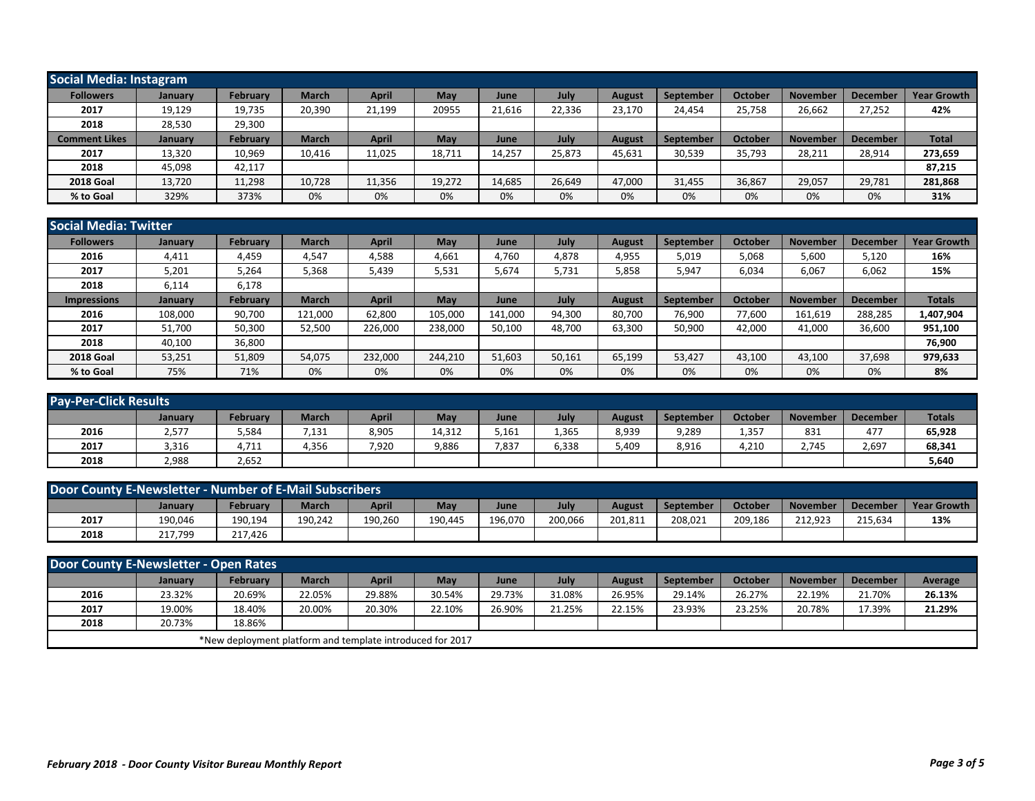| Social Media: Instagram |                |          |              |              |        |        |        |        |                  |         |                 |                 |                    |
|-------------------------|----------------|----------|--------------|--------------|--------|--------|--------|--------|------------------|---------|-----------------|-----------------|--------------------|
| <b>Followers</b>        | <b>January</b> | February | <b>March</b> | <b>April</b> | May    | June   | July   | August | September        | October | <b>November</b> | <b>December</b> | <b>Year Growth</b> |
| 2017                    | 19,129         | 19,735   | 20,390       | 21,199       | 20955  | 21,616 | 22,336 | 23,170 | 24,454           | 25,758  | 26,662          | 27,252          | 42%                |
| 2018                    | 28,530         | 29,300   |              |              |        |        |        |        |                  |         |                 |                 |                    |
| <b>Comment Likes</b>    | <b>January</b> | February | <b>March</b> | <b>April</b> | May    | June   | July   | August | <b>September</b> | October | <b>November</b> | <b>December</b> | <b>Total</b>       |
| 2017                    | 13,320         | 10,969   | 10,416       | 11,025       | 18,711 | 14,257 | 25,873 | 45,631 | 30,539           | 35,793  | 28,211          | 28,914          | 273,659            |
| 2018                    | 45,098         | 42,117   |              |              |        |        |        |        |                  |         |                 |                 | 87,215             |
| <b>2018 Goal</b>        | 13,720         | 11,298   | 10,728       | 11,356       | 19,272 | 14,685 | 26,649 | 47,000 | 31,455           | 36,867  | 29,057          | 29,781          | 281,868            |
| % to Goal               | 329%           | 373%     | 0%           | 0%           | 0%     | 0%     | 0%     | 0%     | 0%               | 0%      | 0%              | 0%              | 31%                |

|                    | <b>Social Media: Twitter</b> |          |              |              |         |         |        |               |                  |         |                 |                 |                    |  |
|--------------------|------------------------------|----------|--------------|--------------|---------|---------|--------|---------------|------------------|---------|-----------------|-----------------|--------------------|--|
| <b>Followers</b>   | <b>January</b>               | February | <b>March</b> | <b>April</b> | May     | June    | July   | August        | <b>September</b> | October | <b>November</b> | <b>December</b> | <b>Year Growth</b> |  |
| 2016               | 4,411                        | 4,459    | 4,547        | 4,588        | 4,661   | 4,760   | 4,878  | 4,955         | 5,019            | 5,068   | 5,600           | 5,120           | 16%                |  |
| 2017               | 5,201                        | 5,264    | 5,368        | 5,439        | 5,531   | 5,674   | 5,731  | 5,858         | 5,947            | 6,034   | 6,067           | 6,062           | 15%                |  |
| 2018               | 6,114                        | 6,178    |              |              |         |         |        |               |                  |         |                 |                 |                    |  |
| <b>Impressions</b> | <b>January</b>               | February | <b>March</b> | <b>April</b> | May     | June    | July   | <b>August</b> | September        | October | <b>November</b> | <b>December</b> | <b>Totals</b>      |  |
| 2016               | 108.000                      | 90,700   | 121,000      | 62,800       | 105,000 | 141,000 | 94,300 | 80,700        | 76,900           | 77.600  | 161,619         | 288,285         | 1,407,904          |  |
| 2017               | 51,700                       | 50,300   | 52,500       | 226,000      | 238,000 | 50,100  | 48,700 | 63,300        | 50,900           | 42,000  | 41,000          | 36,600          | 951,100            |  |
| 2018               | 40,100                       | 36,800   |              |              |         |         |        |               |                  |         |                 |                 | 76,900             |  |
| <b>2018 Goal</b>   | 53,251                       | 51,809   | 54,075       | 232,000      | 244.210 | 51,603  | 50,161 | 65,199        | 53,427           | 43.100  | 43,100          | 37,698          | 979,633            |  |
| % to Goal          | 75%                          | 71%      | 0%           | 0%           | 0%      | 0%      | 0%     | 0%            | 0%               | 0%      | 0%              | 0%              | 8%                 |  |

| <b>Pay-Per-Click Results</b> |         |          |              |              |        |       |       |               |           |         |                 |          |               |
|------------------------------|---------|----------|--------------|--------------|--------|-------|-------|---------------|-----------|---------|-----------------|----------|---------------|
|                              | January | Februarv | <b>March</b> | <b>April</b> | May    | June  | July  | <b>August</b> | September | October | <b>November</b> | December | <b>Totals</b> |
| 2016                         | 2,577   | 5,584    | 7,131        | 8,905        | 14,312 | 5,161 | 1,365 | 8,939         | 9,289     | 1,357   | 831             | 477      | 65,928        |
| 2017                         | 3,316   | 4,711    | 4,356        | 7,920        | 9,886  | 7,837 | 6,338 | 409,          | 8,916     | 4,210   | 2,745           | 2,697    | 68,341        |
| 2018                         | 2,988   | 2,652    |              |              |        |       |       |               |           |         |                 |          | 5,640         |

| Door County E-Newsletter - Number of E-Mail Subscribers |         |                 |              |         |         |         |         |        |           |         |                 |                 |                    |
|---------------------------------------------------------|---------|-----------------|--------------|---------|---------|---------|---------|--------|-----------|---------|-----------------|-----------------|--------------------|
|                                                         | January | <b>February</b> | <b>March</b> | April   | May     | June    | July    | August | September | October | <b>November</b> | <b>December</b> | <b>Year Growth</b> |
| 2017                                                    | 190,046 | 190,194         | 190,242      | 190,260 | 190.445 | 196,070 | 200,066 | 201,81 | 208,021   | 209,186 | 212.923         | 215.634         | 13%                |
| 2018                                                    | 217,799 | 217.426         |              |         |         |         |         |        |           |         |                 |                 |                    |

| Door County E-Newsletter - Open Rates |         |                                                           |              |              |        |        |        |        |           |         |                 |                 |         |
|---------------------------------------|---------|-----------------------------------------------------------|--------------|--------------|--------|--------|--------|--------|-----------|---------|-----------------|-----------------|---------|
|                                       | January | <b>February</b>                                           | <b>March</b> | <b>April</b> | May    | June   | July   | August | September | October | <b>November</b> | <b>December</b> | Average |
| 2016                                  | 23.32%  | 20.69%                                                    | 22.05%       | 29.88%       | 30.54% | 29.73% | 31.08% | 26.95% | 29.14%    | 26.27%  | 22.19%          | 21.70%          | 26.13%  |
| 2017                                  | 19.00%  | 18.40%                                                    | 20.00%       | 20.30%       | 22.10% | 26.90% | 21.25% | 22.15% | 23.93%    | 23.25%  | 20.78%          | 17.39%          | 21.29%  |
| 2018                                  | 20.73%  | 18.86%                                                    |              |              |        |        |        |        |           |         |                 |                 |         |
|                                       |         | *New deployment platform and template introduced for 2017 |              |              |        |        |        |        |           |         |                 |                 |         |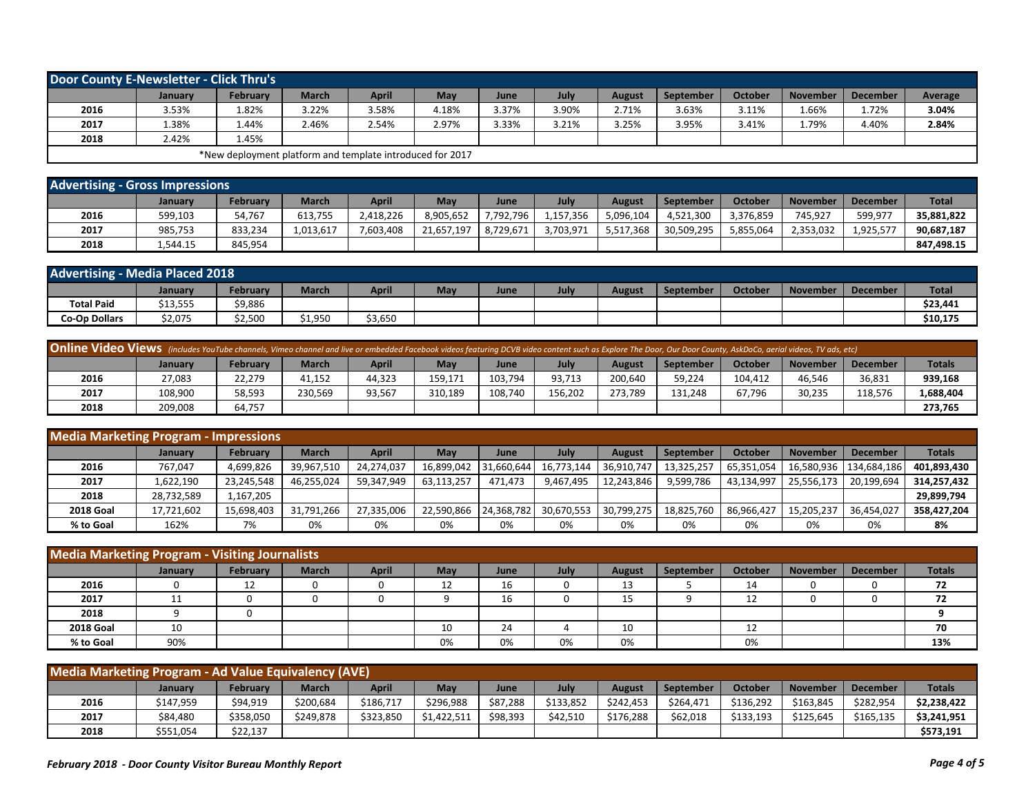| Door County E-Newsletter - Click Thru's |                |                                                           |              |       |       |       |       |               |                  |         |                 |                 |         |
|-----------------------------------------|----------------|-----------------------------------------------------------|--------------|-------|-------|-------|-------|---------------|------------------|---------|-----------------|-----------------|---------|
|                                         | <b>January</b> | February                                                  | <b>March</b> | April | May   | June  | July  | <b>August</b> | <b>September</b> | October | <b>November</b> | <b>December</b> | Average |
| 2016                                    | 3.53%          | 1.82%                                                     | 3.22%        | 3.58% | 4.18% | 3.37% | 3.90% | 2.71%         | 3.63%            | 3.11%   | 1.66%           | 1.72%           | 3.04%   |
| 2017                                    | 1.38%          | 44%،                                                      | 2.46%        | 2.54% | 2.97% | 3.33% | 3.21% | 3.25%         | 3.95%            | 3.41%   | 79%.            | 4.40%           | 2.84%   |
| 2018                                    | 2.42%          | 1.45%                                                     |              |       |       |       |       |               |                  |         |                 |                 |         |
|                                         |                | *New deployment platform and template introduced for 2017 |              |       |       |       |       |               |                  |         |                 |                 |         |

| <b>Advertising - Gross Impressions</b> |          |          |              |              |            |           |           |           |            |           |                 |                 |              |
|----------------------------------------|----------|----------|--------------|--------------|------------|-----------|-----------|-----------|------------|-----------|-----------------|-----------------|--------------|
|                                        | January  | February | <b>March</b> | <b>April</b> | May        | June      | July      | August    | September  | October   | <b>November</b> | <b>December</b> | <b>Total</b> |
| 2016                                   | 599,103  | 54,767   | 613.755      | 2,418,226    | 3,905,652  | 7,792,796 | 1.157.356 | 5,096,104 | 4,521,300  | 3,376,859 | 745,927         | 599,977         | 35,881,822   |
| 2017                                   | 985,753  | 833,234  | 1,013,617    | 7,603,408    | 21,657,197 | 8,729,671 | 3,703,971 | 5,517,368 | 30,509,295 | 5,855,064 | 2,353,032       | 1,925,577       | 90,687,187   |
| 2018                                   | 1,544.15 | 845,954  |              |              |            |           |           |           |            |           |                 |                 | 847.498.15   |

| <b>Advertising - Media Placed 2018</b> |          |          |         |         |     |      |     |        |           |                     |                 |                 |              |
|----------------------------------------|----------|----------|---------|---------|-----|------|-----|--------|-----------|---------------------|-----------------|-----------------|--------------|
|                                        | January  | February | March   | April   | May | June | Juh | August | September | Octobe <sub>l</sub> | <b>November</b> | <b>December</b> | <b>Total</b> |
| <b>Total Paid</b>                      | \$13,555 | \$9,886  |         |         |     |      |     |        |           |                     |                 |                 | \$23,441     |
| <b>Co-Op Dollars</b>                   | \$2,075  | \$2,500  | \$1,950 | \$3,650 |     |      |     |        |           |                     |                 |                 | \$10,175     |

| Online Video Views (includes YouTube channels, Vimeo channel and live or embedded Facebook videos featuring DCVB video content such as Explore The Door, Our Door County, AskDoCo, aerial videos, TV ads, etc) |         |                 |              |        |         |         |         |               |                  |         |                 |          |               |
|----------------------------------------------------------------------------------------------------------------------------------------------------------------------------------------------------------------|---------|-----------------|--------------|--------|---------|---------|---------|---------------|------------------|---------|-----------------|----------|---------------|
|                                                                                                                                                                                                                | Januarv | <b>February</b> | <b>March</b> | April  | May     | June    | July    | <b>August</b> | <b>September</b> | October | <b>November</b> | December | <b>Totals</b> |
| 2016                                                                                                                                                                                                           | 27,083  | 22.279          | 41,152       | 44,323 | 159.171 | 103,794 | 93.713  | 200,640       | 59,224           | 104.412 | 46.546          | 36,831   | 939,168       |
| 2017                                                                                                                                                                                                           | 108,900 | 58,593          | 230,569      | 93,567 | 310.189 | 108.740 | 156.202 | 273.789       | 131.248          | 67,796  | 30,235          | 118.576  | 1,688,404     |
| 2018                                                                                                                                                                                                           | 209.008 | 64,757          |              |        |         |         |         |               |                  |         |                 |          | 273.765       |

| <b>Media Marketing Program - Impressions</b> |                |                 |              |            |            |            |            |               |            |            |                 |                 |               |
|----------------------------------------------|----------------|-----------------|--------------|------------|------------|------------|------------|---------------|------------|------------|-----------------|-----------------|---------------|
|                                              | <b>January</b> | <b>February</b> | <b>March</b> | April      | Mav        | June       | July       | <b>August</b> | September  | October    | <b>November</b> | <b>December</b> | <b>Totals</b> |
| 2016                                         | 767,047        | 4,699,826       | 39,967,510   | 24,274,037 | 16.899.042 | 31,660,644 | 16,773,144 | 36,910,747    | 13,325,257 | 65,351,054 | 16,580,936      | 134.684.186     | 401,893,430   |
| 2017                                         | 1,622,190      | 23,245,548      | 46,255,024   | 59,347,949 | 63,113,257 | 471,473    | 9.467.495  | 12,243,846    | 9,599,786  | 43,134,997 | 25,556,173      | 20,199,694      | 314,257,432   |
| 2018                                         | 28,732,589     | 1,167,205       |              |            |            |            |            |               |            |            |                 |                 | 29,899,794    |
| <b>2018 Goal</b>                             | 17,721,602     | 15,698,403      | 31,791,266   | 27,335,006 | 22,590,866 | 24,368,782 | 30,670,553 | 30,799,275    | 18,825,760 | 86,966,427 | 15,205,237      | 36,454,027      | 358,427,204   |
| % to Goal                                    | 162%           | 7%              | 0%           | 0%         | 0%         | 0%         | 0%         | 0%            | 0%         | 0%         | 0%              | 0%              | 8%            |

| <b>Media Marketing Program - Visiting Journalists</b> |                  |                 |              |              |         |      |      |        |           |         |                 |                 |               |
|-------------------------------------------------------|------------------|-----------------|--------------|--------------|---------|------|------|--------|-----------|---------|-----------------|-----------------|---------------|
|                                                       | January          | <b>February</b> | <b>March</b> | <b>April</b> | May     | June | July | August | September | October | <b>November</b> | <b>December</b> | <b>Totals</b> |
| 2016                                                  |                  | 12              |              |              | 12<br>ᅭ | 16   |      | 13     |           | 14      |                 |                 | 72            |
| 2017                                                  | 11<br><b>. .</b> |                 |              |              |         | 16   |      | 15     |           | 12      |                 |                 | 72            |
| 2018                                                  |                  |                 |              |              |         |      |      |        |           |         |                 |                 |               |
| <b>2018 Goal</b>                                      | 10               |                 |              |              | 10      | 24   |      | 10     |           | 12      |                 |                 | 70            |
| % to Goal                                             | 90%              |                 |              |              | 0%      | 0%   | 0%   | 0%     |           | 0%      |                 |                 | 13%           |

| Media Marketing Program - Ad Value Equivalency (AVE) |                |                 |              |           |             |          |           |           |                  |           |                 |                 |               |
|------------------------------------------------------|----------------|-----------------|--------------|-----------|-------------|----------|-----------|-----------|------------------|-----------|-----------------|-----------------|---------------|
|                                                      | <b>January</b> | <b>February</b> | <b>March</b> | April     | May         | June     | July      | August    | <b>September</b> | October   | <b>November</b> | <b>December</b> | <b>Totals</b> |
| 2016                                                 | \$147,959      | \$94,919        | \$200,684    | \$186,717 | \$296.988   | \$87,288 | \$133,852 | \$242.453 | \$264,471        | \$136,292 | \$163,845       | \$282,954       | \$2,238,422   |
| 2017                                                 | \$84,480       | \$358,050       | \$249,878    | \$323,850 | \$1,422,511 | \$98,393 | \$42,510  | \$176,288 | \$62,018         | \$133,193 | \$125,645       | \$165,135       | \$3,241,951   |
| 2018                                                 | \$551,054      | \$22,137        |              |           |             |          |           |           |                  |           |                 |                 | \$573,191     |